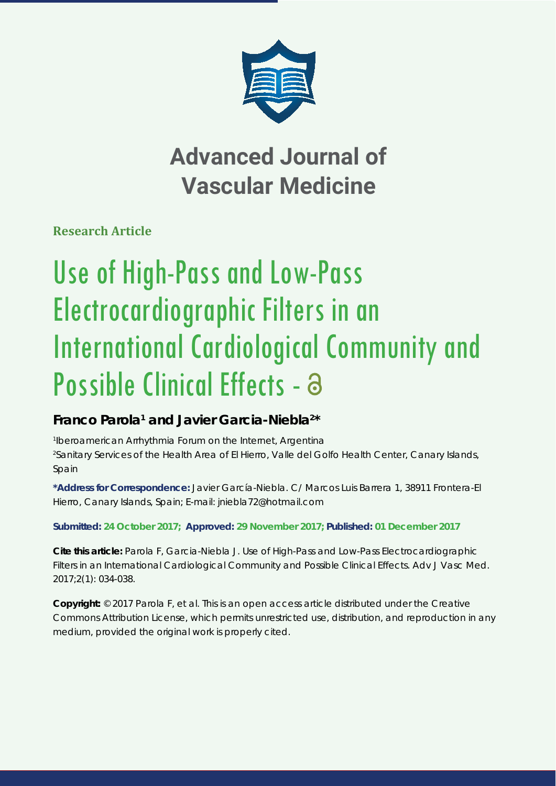

## **Advanced Journal of Vascular Medicine**

**Research Article**

# Use of High-Pass and Low-Pass Electrocardiographic Filters in an International Cardiological Community and Possible Clinical Effects - a

### Franco Parola<sup>1</sup> and Javier Garcia-Niebla<sup>2\*</sup>

*1 Iberoamerican Arrhythmia Forum on the Internet, Argentina 2 Sanitary Services of the Health Area of El Hierro, Valle del Golfo Health Center, Canary Islands, Spain*

**\*Address for Correspondence:** Javier García-Niebla. C/ Marcos Luis Barrera 1, 38911 Frontera-El Hierro, Canary Islands, Spain; E-mail: jniebla72@hotmail.com

**Submitted: 24 October 2017; Approved: 29 November 2017; Published: 01 December 2017**

**Cite this article:** Parola F, Garcia-Niebla J. Use of High-Pass and Low-Pass Electrocardiographic Filters in an International Cardiological Community and Possible Clinical Effects. Adv J Vasc Med. 2017;2(1): 034-038.

**Copyright:** © 2017 Parola F, et al. This is an open access article distributed under the Creative Commons Attribution License, which permits unrestricted use, distribution, and reproduction in any medium, provided the original work is properly cited.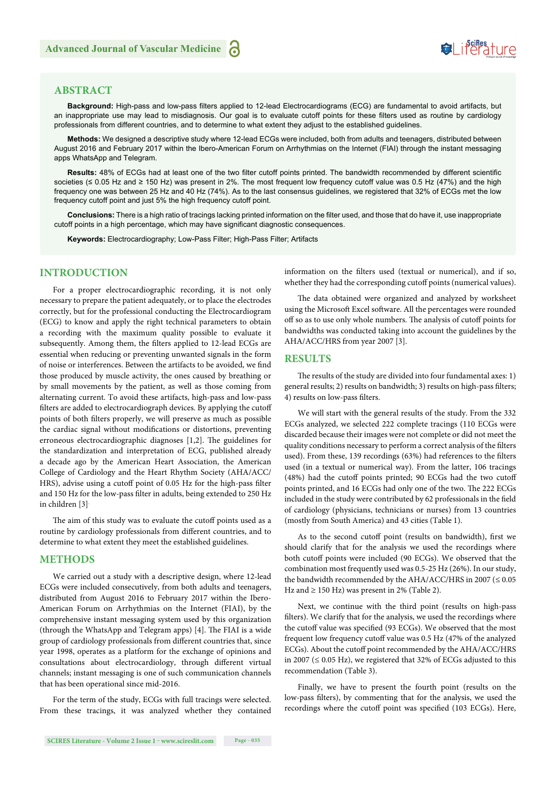## Suifes ture

#### **ABSTRACT**

Background: High-pass and low-pass filters applied to 12-lead Electrocardiograms (ECG) are fundamental to avoid artifacts, but an inappropriate use may lead to misdiagnosis. Our goal is to evaluate cutoff points for these filters used as routine by cardiology professionals from different countries, and to determine to what extent they adjust to the established guidelines.

**Methods:** We designed a descriptive study where 12-lead ECGs were included, both from adults and teenagers, distributed between August 2016 and February 2017 within the Ibero-American Forum on Arrhythmias on the Internet (FIAI) through the instant messaging apps WhatsApp and Telegram.

Results: 48% of ECGs had at least one of the two filter cutoff points printed. The bandwidth recommended by different scientific societies (≤ 0.05 Hz and ≥ 150 Hz) was present in 2%. The most frequent low frequency cutoff value was 0.5 Hz (47%) and the high frequency one was between 25 Hz and 40 Hz (74%). As to the last consensus guidelines, we registered that 32% of ECGs met the low frequency cutoff point and just 5% the high frequency cutoff point.

Conclusions: There is a high ratio of tracings lacking printed information on the filter used, and those that do have it, use inappropriate cutoff points in a high percentage, which may have significant diagnostic consequences.

**Keywords:** Electrocardiography; Low-Pass Filter; High-Pass Filter; Artifacts

#### **INTRODUCTION**

For a proper electrocardiographic recording, it is not only necessary to prepare the patient adequately, or to place the electrodes correctly, but for the professional conducting the Electrocardiogram (ECG) to know and apply the right technical parameters to obtain a recording with the maximum quality possible to evaluate it subsequently. Among them, the filters applied to 12-lead ECGs are essential when reducing or preventing unwanted signals in the form of noise or interferences. Between the artifacts to be avoided, we find those produced by muscle activity, the ones caused by breathing or by small movements by the patient, as well as those coming from alternating current. To avoid these artifacts, high-pass and low-pass filters are added to electrocardiograph devices. By applying the cutoff points of both filters properly, we will preserve as much as possible the cardiac signal without modifications or distortions, preventing erroneous electrocardiographic diagnoses  $[1,2]$ . The guidelines for the standardization and interpretation of ECG, published already a decade ago by the American Heart Association, the American College of Cardiology and the Heart Rhythm Society (AHA/ACC/ HRS), advise using a cutoff point of 0.05 Hz for the high-pass filter and 150 Hz for the low-pass filter in adults, being extended to 250 Hz in children [3].

The aim of this study was to evaluate the cutoff points used as a routine by cardiology professionals from different countries, and to determine to what extent they meet the established guidelines.

#### **METHODS**

We carried out a study with a descriptive design, where 12-lead ECGs were included consecutively, from both adults and teenagers, distributed from August 2016 to February 2017 within the Ibero-American Forum on Arrhythmias on the Internet (FIAI), by the comprehensive instant messaging system used by this organization (through the WhatsApp and Telegram apps)  $[4]$ . The FIAI is a wide group of cardiology professionals from different countries that, since year 1998, operates as a platform for the exchange of opinions and consultations about electrocardiology, through different virtual channels; instant messaging is one of such communication channels that has been operational since mid-2016.

For the term of the study, ECGs with full tracings were selected. From these tracings, it was analyzed whether they contained information on the filters used (textual or numerical), and if so, whether they had the corresponding cutoff points (numerical values).

The data obtained were organized and analyzed by worksheet using the Microsoft Excel software. All the percentages were rounded off so as to use only whole numbers. The analysis of cutoff points for bandwidths was conducted taking into account the guidelines by the AHA/ACC/HRS from year 2007 [3].

#### **RESULTS**

The results of the study are divided into four fundamental axes: 1) general results; 2) results on bandwidth; 3) results on high-pass filters; 4) results on low-pass filters.

We will start with the general results of the study. From the 332 ECGs analyzed, we selected 222 complete tracings (110 ECGs were discarded because their images were not complete or did not meet the quality conditions necessary to perform a correct analysis of the filters used). From these, 139 recordings (63%) had references to the filters used (in a textual or numerical way). From the latter, 106 tracings (48%) had the cutoff points printed; 90 ECGs had the two cutoff points printed, and 16 ECGs had only one of the two. The 222 ECGs included in the study were contributed by 62 professionals in the field of cardiology (physicians, technicians or nurses) from 13 countries (mostly from South America) and 43 cities (Table 1).

As to the second cutoff point (results on bandwidth), first we should clarify that for the analysis we used the recordings where both cutoff points were included (90 ECGs). We observed that the combination most frequently used was 0.5-25 Hz (26%). In our study, the bandwidth recommended by the AHA/ACC/HRS in 2007 ( $\leq 0.05$ Hz and  $\geq$  150 Hz) was present in 2% (Table 2).

Next, we continue with the third point (results on high-pass filters). We clarify that for the analysis, we used the recordings where the cutoff value was specified (93 ECGs). We observed that the most frequent low frequency cutoff value was 0.5 Hz (47% of the analyzed ECGs). About the cutoff point recommended by the AHA/ACC/HRS in 2007 ( $\leq$  0.05 Hz), we registered that 32% of ECGs adjusted to this recommendation (Table 3).

Finally, we have to present the fourth point (results on the low-pass filters), by commenting that for the analysis, we used the recordings where the cutoff point was specified (103 ECGs). Here,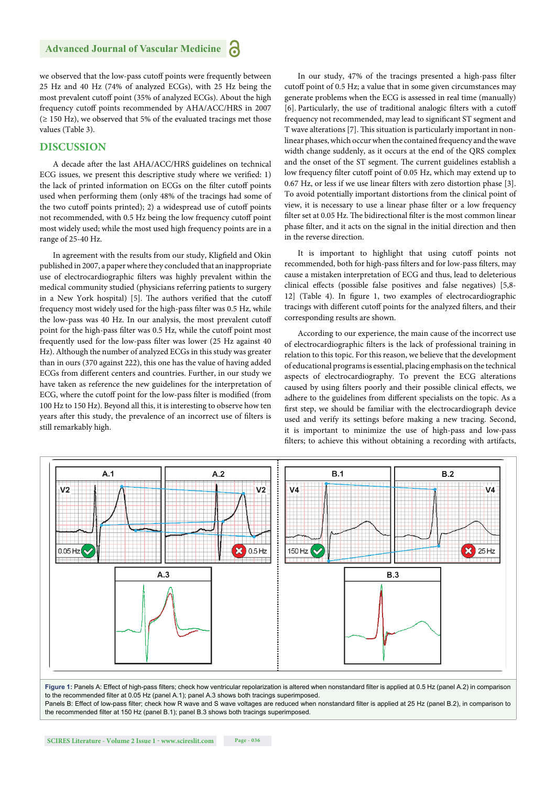we observed that the low-pass cutoff points were frequently between 25 Hz and 40 Hz (74% of analyzed ECGs), with 25 Hz being the most prevalent cutoff point (35% of analyzed ECGs). About the high frequency cutoff points recommended by AHA/ACC/HRS in 2007  $(\geq 150 \text{ Hz})$ , we observed that 5% of the evaluated tracings met those values (Table 3).

#### **DISCUSSION**

A decade after the last AHA/ACC/HRS guidelines on technical ECG issues, we present this descriptive study where we verified: 1) the lack of printed information on ECGs on the filter cutoff points used when performing them (only 48% of the tracings had some of the two cutoff points printed); 2) a widespread use of cutoff points not recommended, with 0.5 Hz being the low frequency cutoff point most widely used; while the most used high frequency points are in a range of 25-40 Hz.

In agreement with the results from our study, Kligfield and Okin published in 2007, a paper where they concluded that an inappropriate use of electrocardiographic filters was highly prevalent within the medical community studied (physicians referring patients to surgery in a New York hospital) [5]. The authors verified that the cutoff frequency most widely used for the high-pass filter was 0.5 Hz, while the low-pass was 40 Hz. In our analysis, the most prevalent cutoff point for the high-pass filter was 0.5 Hz, while the cutoff point most frequently used for the low-pass filter was lower (25 Hz against 40 Hz). Although the number of analyzed ECGs in this study was greater than in ours (370 against 222), this one has the value of having added ECGs from different centers and countries. Further, in our study we have taken as reference the new guidelines for the interpretation of ECG, where the cutoff point for the low-pass filter is modified (from 100 Hz to 150 Hz). Beyond all this, it is interesting to observe how ten years after this study, the prevalence of an incorrect use of filters is still remarkably high.

In our study, 47% of the tracings presented a high-pass filter cutoff point of 0.5 Hz; a value that in some given circumstances may generate problems when the ECG is assessed in real time (manually) [6]. Particularly, the use of traditional analogic filters with a cutoff frequency not recommended, may lead to significant ST segment and T wave alterations [7]. This situation is particularly important in nonlinear phases, which occur when the contained frequency and the wave width change suddenly, as it occurs at the end of the QRS complex and the onset of the ST segment. The current guidelines establish a low frequency filter cutoff point of 0.05 Hz, which may extend up to  $0.67$  Hz, or less if we use linear filters with zero distortion phase [3]. To avoid potentially important distortions from the clinical point of view, it is necessary to use a linear phase filter or a low frequency filter set at 0.05 Hz. The bidirectional filter is the most common linear phase filter, and it acts on the signal in the initial direction and then in the reverse direction.

It is important to highlight that using cutoff points not recommended, both for high-pass filters and for low-pass filters, may cause a mistaken interpretation of ECG and thus, lead to deleterious clinical effects (possible false positives and false negatives) [5,8-12] (Table 4). In figure 1, two examples of electrocardiographic tracings with different cutoff points for the analyzed filters, and their corresponding results are shown.

According to our experience, the main cause of the incorrect use of electrocardiographic filters is the lack of professional training in relation to this topic. For this reason, we believe that the development of educational programs is essential, placing emphasis on the technical aspects of electrocardiography. To prevent the ECG alterations caused by using filters poorly and their possible clinical effects, we adhere to the guidelines from different specialists on the topic. As a first step, we should be familiar with the electrocardiograph device used and verify its settings before making a new tracing. Second, it is important to minimize the use of high-pass and low-pass filters; to achieve this without obtaining a recording with artifacts,



**Figure 1:** Panels A: Effect of high-pass filters; check how ventricular repolarization is altered when nonstandard filter is applied at 0.5 Hz (panel A.2) in comparison to the recommended filter at  $0.05$  Hz (panel A.1); panel A.3 shows both tracings superimposed

Panels B: Effect of low-pass filter; check how R wave and S wave voltages are reduced when nonstandard filter is applied at 25 Hz (panel B.2), in comparison to the recommended filter at 150 Hz (panel B.1); panel B.3 shows both tracings superimposed.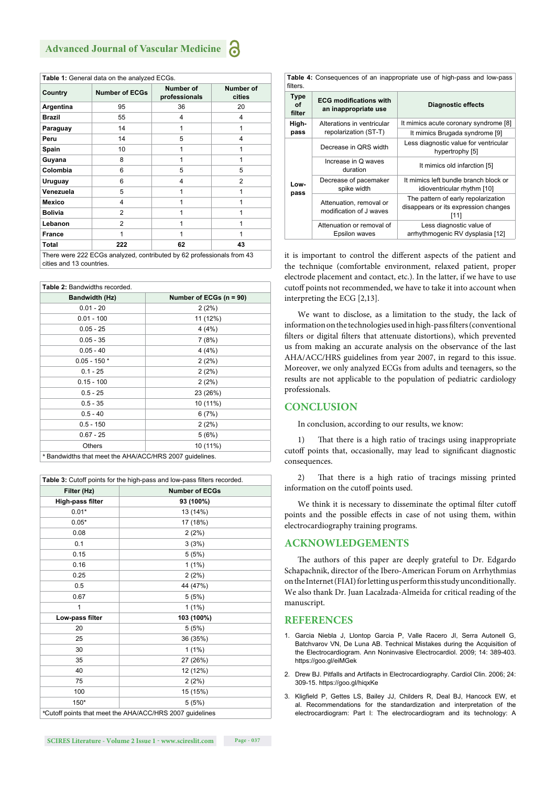| Country        | <b>Number of ECGs</b> | Number of<br>professionals | Number of<br>cities |
|----------------|-----------------------|----------------------------|---------------------|
| Argentina      | 95                    | 36                         | 20                  |
| <b>Brazil</b>  | 55                    | 4                          | 4                   |
| Paraguay       | 14                    | 1                          | 1                   |
| Peru           | 14                    | 5                          | 4                   |
| Spain          | 10                    | 1                          | 1                   |
| Guyana         | 8                     | 1                          | 1                   |
| Colombia       | 6                     | 5                          | 5                   |
| Uruguay        | 6                     | 4                          | $\overline{2}$      |
| Venezuela      | 5                     | 1                          | 1                   |
| <b>Mexico</b>  | 4                     | 1                          | 1                   |
| <b>Bolivia</b> | $\overline{2}$        | 1                          | 1                   |
| Lebanon        | $\overline{2}$        | 1                          | 1                   |
| <b>France</b>  | 1                     | 1                          | 1                   |
| Total          | 222                   | 62                         | 43                  |

| <b>Table 2: Bandwidths recorded.</b>                   |                           |  |  |
|--------------------------------------------------------|---------------------------|--|--|
| Bandwidth (Hz)                                         | Number of ECGs $(n = 90)$ |  |  |
| $0.01 - 20$                                            | 2(2%)                     |  |  |
| $0.01 - 100$                                           | 11 (12%)                  |  |  |
| $0.05 - 25$                                            | 4(4%)                     |  |  |
| $0.05 - 35$                                            | 7(8%)                     |  |  |
| $0.05 - 40$                                            | 4(4%)                     |  |  |
| $0.05 - 150*$                                          | 2(2%)                     |  |  |
| $0.1 - 25$                                             | 2(2%)                     |  |  |
| $0.15 - 100$                                           | 2(2%)                     |  |  |
| $0.5 - 25$                                             | 23 (26%)                  |  |  |
| $0.5 - 35$                                             | 10 (11%)                  |  |  |
| $0.5 - 40$                                             | 6(7%)                     |  |  |
| $0.5 - 150$                                            | 2(2%)                     |  |  |
| $0.67 - 25$                                            | 5(6%)                     |  |  |
| <b>Others</b>                                          | 10 (11%)                  |  |  |
| *Bandwidths that meet the AHA/ACC/HRS 2007 quidelines. |                           |  |  |

| Table 3: Cutoff points for the high-pass and low-pass filters recorded. |                       |  |  |
|-------------------------------------------------------------------------|-----------------------|--|--|
| Filter (Hz)                                                             | <b>Number of ECGs</b> |  |  |
| High-pass filter                                                        | 93 (100%)             |  |  |
| $0.01*$                                                                 | 13 (14%)              |  |  |
| $0.05*$                                                                 | 17 (18%)              |  |  |
| 0.08                                                                    | 2(2%)                 |  |  |
| 0.1                                                                     | 3(3%)                 |  |  |
| 0.15                                                                    | 5(5%)                 |  |  |
| 0.16                                                                    | $1(1\%)$              |  |  |
| 0.25                                                                    | 2(2%)                 |  |  |
| 0.5                                                                     | 44 (47%)              |  |  |
| 0.67                                                                    | 5(5%)                 |  |  |
| 1                                                                       | $1(1\%)$              |  |  |
| Low-pass filter                                                         | 103 (100%)            |  |  |
| 20                                                                      | 5(5%)                 |  |  |
| 25                                                                      | 36 (35%)              |  |  |
| 30                                                                      | $1(1\%)$              |  |  |
| 35                                                                      | 27 (26%)              |  |  |
| 40                                                                      | 12 (12%)              |  |  |
| 75                                                                      | 2(2%)                 |  |  |
| 100                                                                     | 15 (15%)              |  |  |
| 150*                                                                    | 5(5%)                 |  |  |
| *Cutoff points that meet the AHA/ACC/HRS 2007 guidelines                |                       |  |  |

**Table 4:** Consequences of an inappropriate use of high-pass and low-pass filters

| <b>Type</b><br>οf<br>filter | <b>ECG modifications with</b><br>an inappropriate use | Diagnostic effects                                                                  |
|-----------------------------|-------------------------------------------------------|-------------------------------------------------------------------------------------|
| High-<br>pass               | Alterations in ventricular<br>repolarization (ST-T)   | It mimics acute coronary syndrome [8]                                               |
|                             |                                                       | It mimics Brugada syndrome [9]                                                      |
| Low-<br>pass                | Decrease in ORS width                                 | Less diagnostic value for ventricular<br>hypertrophy [5]                            |
|                             | Increase in Q waves<br>duration                       | It mimics old infarction [5]                                                        |
|                             | Decrease of pacemaker<br>spike width                  | It mimics left bundle branch block or<br>idioventricular rhythm [10]                |
|                             | Attenuation, removal or<br>modification of J waves    | The pattern of early repolarization<br>disappears or its expression changes<br>[11] |
|                             | Attenuation or removal of<br>Epsilon waves            | Less diagnostic value of<br>arrhythmogenic RV dysplasia [12]                        |

it is important to control the different aspects of the patient and the technique (comfortable environment, relaxed patient, proper electrode placement and contact, etc.). In the latter, if we have to use cutoff points not recommended, we have to take it into account when interpreting the ECG [2,13].

We want to disclose, as a limitation to the study, the lack of information on the technologies used in high-pass filters (conventional filters or digital filters that attenuate distortions), which prevented us from making an accurate analysis on the observance of the last AHA/ACC/HRS guidelines from year 2007, in regard to this issue. Moreover, we only analyzed ECGs from adults and teenagers, so the results are not applicable to the population of pediatric cardiology professionals.

#### **CONCLUSION**

In conclusion, according to our results, we know:

1) That there is a high ratio of tracings using inappropriate cutoff points that, occasionally, may lead to significant diagnostic consequences.

2) That there is a high ratio of tracings missing printed information on the cutoff points used.

We think it is necessary to disseminate the optimal filter cutoff points and the possible effects in case of not using them, within electrocardiography training programs.

#### **ACKNOWLEDGEMENTS**

The authors of this paper are deeply grateful to Dr. Edgardo Schapachnik, director of the Ibero-American Forum on Arrhythmias on the Internet (FIAI) for letting us perform this study unconditionally. We also thank Dr. Juan Lacalzada-Almeida for critical reading of the manuscript.

#### **REFERENCES**

- 1. Garcia Niebla J, Llontop Garcia P, Valle Racero JI, Serra Autonell G, Batchvarov VN, De Luna AB. Technical Mistakes during the Acquisition of the Electrocardiogram. Ann Noninvasive Electrocardiol. 2009; 14: 389-403. https://goo.gl/eiMGek
- 2. Drew BJ. Pitfalls and Artifacts in Electrocardiography. Cardiol Clin. 2006; 24: 309-15. https://goo.gl/hiqxKe
- 3. Kligfield P, Gettes LS, Bailey JJ, Childers R, Deal BJ, Hancock EW, et al. Recommendations for the standardization and interpretation of the electrocardiogram: Part I: The electrocardiogram and its technology: A